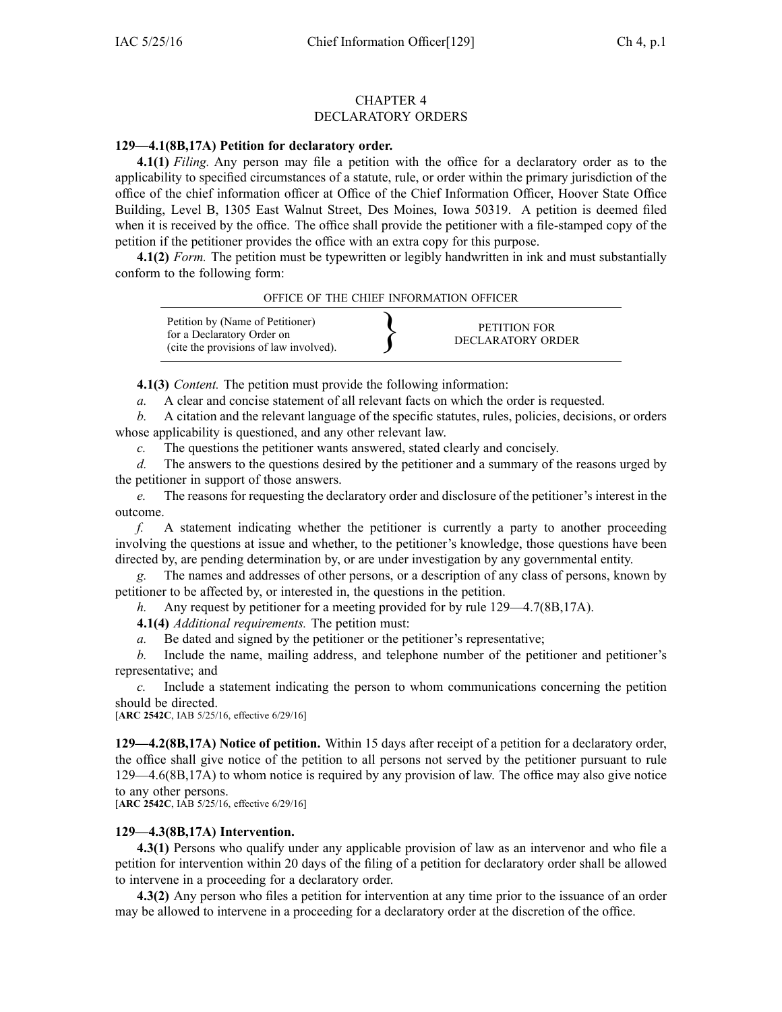### CHAPTER 4 DECLARATORY ORDERS

### **129—4.1(8B,17A) Petition for declaratory order.**

**4.1(1)** *Filing.* Any person may file <sup>a</sup> petition with the office for <sup>a</sup> declaratory order as to the applicability to specified circumstances of <sup>a</sup> statute, rule, or order within the primary jurisdiction of the office of the chief information officer at Office of the Chief Information Officer, Hoover State Office Building, Level B, 1305 East Walnut Street, Des Moines, Iowa 50319. A petition is deemed filed when it is received by the office. The office shall provide the petitioner with <sup>a</sup> file-stamped copy of the petition if the petitioner provides the office with an extra copy for this purpose.

**4.1(2)** *Form.* The petition must be typewritten or legibly handwritten in ink and must substantially conform to the following form:

OFFICE OF THE CHIEF INFORMATION OFFICER

| Petition by (Name of Petitioner)<br>for a Declaratory Order on<br>(cite the provisions of law involved). |  | PETITION FOR<br>DECLARATORY ORDER |
|----------------------------------------------------------------------------------------------------------|--|-----------------------------------|
|----------------------------------------------------------------------------------------------------------|--|-----------------------------------|

**4.1(3)** *Content.* The petition must provide the following information:

*a.* A clear and concise statement of all relevant facts on which the order is requested.

*b.* A citation and the relevant language of the specific statutes, rules, policies, decisions, or orders whose applicability is questioned, and any other relevant law.

*c.* The questions the petitioner wants answered, stated clearly and concisely.

*d.* The answers to the questions desired by the petitioner and <sup>a</sup> summary of the reasons urged by the petitioner in suppor<sup>t</sup> of those answers.

*e.* The reasons for requesting the declaratory order and disclosure of the petitioner's interest in the outcome.

*f.* A statement indicating whether the petitioner is currently <sup>a</sup> party to another proceeding involving the questions at issue and whether, to the petitioner's knowledge, those questions have been directed by, are pending determination by, or are under investigation by any governmental entity.

*g.* The names and addresses of other persons, or <sup>a</sup> description of any class of persons, known by petitioner to be affected by, or interested in, the questions in the petition.

*h.* Any reques<sup>t</sup> by petitioner for <sup>a</sup> meeting provided for by rule 129—4.7(8B,17A).

**4.1(4)** *Additional requirements.* The petition must:

*a.* Be dated and signed by the petitioner or the petitioner's representative;

*b.* Include the name, mailing address, and telephone number of the petitioner and petitioner's representative; and

*c.* Include <sup>a</sup> statement indicating the person to whom communications concerning the petition should be directed.

[**ARC 2542C**, IAB 5/25/16, effective 6/29/16]

**129—4.2(8B,17A) Notice of petition.** Within 15 days after receipt of <sup>a</sup> petition for <sup>a</sup> declaratory order, the office shall give notice of the petition to all persons not served by the petitioner pursuan<sup>t</sup> to rule 129—4.6(8B,17A) to whom notice is required by any provision of law. The office may also give notice to any other persons.

[**ARC 2542C**, IAB 5/25/16, effective 6/29/16]

# **129—4.3(8B,17A) Intervention.**

**4.3(1)** Persons who qualify under any applicable provision of law as an intervenor and who file <sup>a</sup> petition for intervention within 20 days of the filing of <sup>a</sup> petition for declaratory order shall be allowed to intervene in <sup>a</sup> proceeding for <sup>a</sup> declaratory order.

**4.3(2)** Any person who files <sup>a</sup> petition for intervention at any time prior to the issuance of an order may be allowed to intervene in <sup>a</sup> proceeding for <sup>a</sup> declaratory order at the discretion of the office.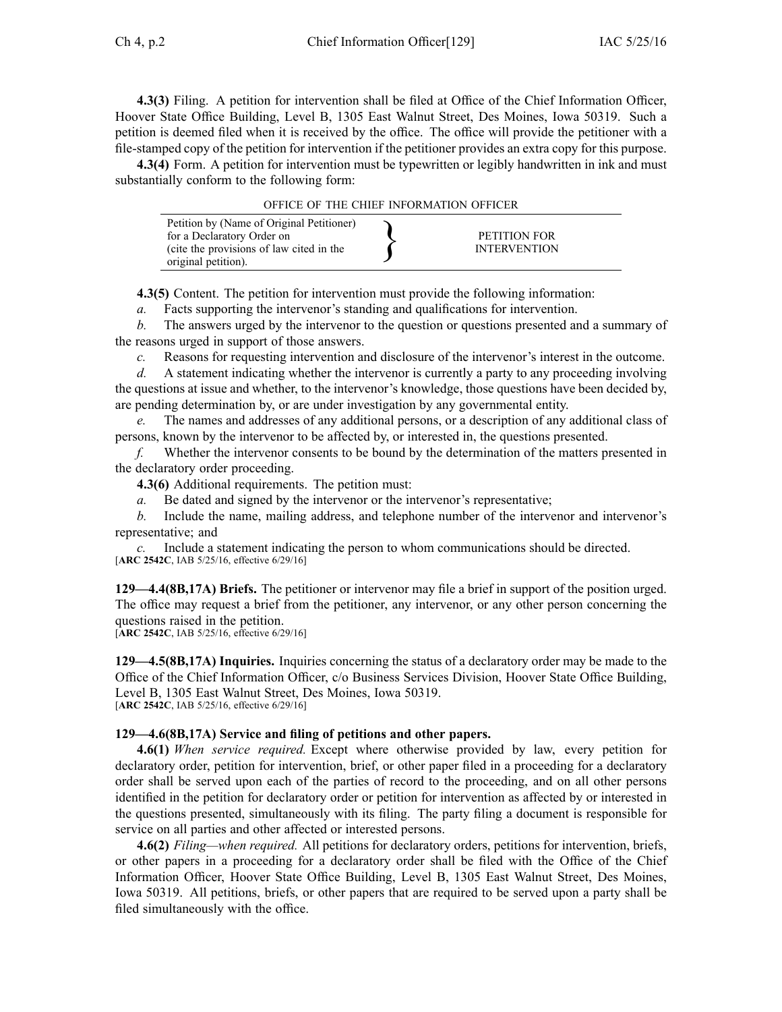**4.3(3)** Filing. A petition for intervention shall be filed at Office of the Chief Information Officer, Hoover State Office Building, Level B, 1305 East Walnut Street, Des Moines, Iowa 50319. Such <sup>a</sup> petition is deemed filed when it is received by the office. The office will provide the petitioner with <sup>a</sup> file-stamped copy of the petition for intervention if the petitioner provides an extra copy for this purpose.

**4.3(4)** Form. A petition for intervention must be typewritten or legibly handwritten in ink and must substantially conform to the following form:

| OFFICE OF THE CHIEF INFORMATION OFFICER |  |
|-----------------------------------------|--|
|-----------------------------------------|--|

| Petition by (Name of Original Petitioner)<br>for a Declaratory Order on | PETITION FOR        |
|-------------------------------------------------------------------------|---------------------|
| (cite the provisions of law cited in the<br>original petition).         | <b>INTERVENTION</b> |

**4.3(5)** Content. The petition for intervention must provide the following information:

*a.* Facts supporting the intervenor's standing and qualifications for intervention.

*b.* The answers urged by the intervenor to the question or questions presented and <sup>a</sup> summary of the reasons urged in suppor<sup>t</sup> of those answers.

*c.* Reasons for requesting intervention and disclosure of the intervenor's interest in the outcome.

*d.* A statement indicating whether the intervenor is currently <sup>a</sup> party to any proceeding involving the questions at issue and whether, to the intervenor's knowledge, those questions have been decided by, are pending determination by, or are under investigation by any governmental entity.

*e.* The names and addresses of any additional persons, or <sup>a</sup> description of any additional class of persons, known by the intervenor to be affected by, or interested in, the questions presented.

*f.* Whether the intervenor consents to be bound by the determination of the matters presented in the declaratory order proceeding.

**4.3(6)** Additional requirements. The petition must:

*a.* Be dated and signed by the intervenor or the intervenor's representative;

*b.* Include the name, mailing address, and telephone number of the intervenor and intervenor's representative; and

*c.* Include <sup>a</sup> statement indicating the person to whom communications should be directed. [**ARC 2542C**, IAB 5/25/16, effective 6/29/16]

**129—4.4(8B,17A) Briefs.** The petitioner or intervenor may file <sup>a</sup> brief in suppor<sup>t</sup> of the position urged. The office may reques<sup>t</sup> <sup>a</sup> brief from the petitioner, any intervenor, or any other person concerning the questions raised in the petition.

[**ARC 2542C**, IAB 5/25/16, effective 6/29/16]

**129—4.5(8B,17A) Inquiries.** Inquiries concerning the status of <sup>a</sup> declaratory order may be made to the Office of the Chief Information Officer, c/o Business Services Division, Hoover State Office Building, Level B, 1305 East Walnut Street, Des Moines, Iowa 50319. [**ARC 2542C**, IAB 5/25/16, effective 6/29/16]

#### **129—4.6(8B,17A) Service and filing of petitions and other papers.**

**4.6(1)** *When service required.* Except where otherwise provided by law, every petition for declaratory order, petition for intervention, brief, or other paper filed in <sup>a</sup> proceeding for <sup>a</sup> declaratory order shall be served upon each of the parties of record to the proceeding, and on all other persons identified in the petition for declaratory order or petition for intervention as affected by or interested in the questions presented, simultaneously with its filing. The party filing <sup>a</sup> document is responsible for service on all parties and other affected or interested persons.

**4.6(2)** *Filing—when required.* All petitions for declaratory orders, petitions for intervention, briefs, or other papers in <sup>a</sup> proceeding for <sup>a</sup> declaratory order shall be filed with the Office of the Chief Information Officer, Hoover State Office Building, Level B, 1305 East Walnut Street, Des Moines, Iowa 50319. All petitions, briefs, or other papers that are required to be served upon <sup>a</sup> party shall be filed simultaneously with the office.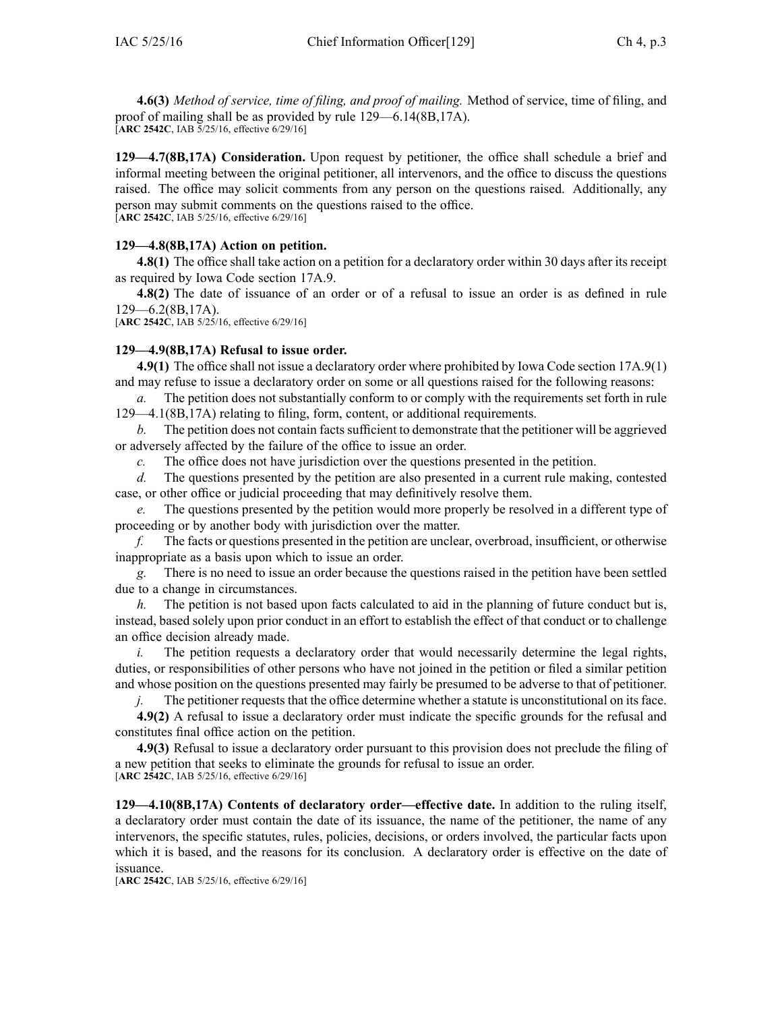**4.6(3)** *Method of service, time of filing, and proof of mailing.* Method of service, time of filing, and proof of mailing shall be as provided by rule 129—6.14(8B,17A). [**ARC 2542C**, IAB 5/25/16, effective 6/29/16]

**129—4.7(8B,17A) Consideration.** Upon reques<sup>t</sup> by petitioner, the office shall schedule <sup>a</sup> brief and informal meeting between the original petitioner, all intervenors, and the office to discuss the questions raised. The office may solicit comments from any person on the questions raised. Additionally, any person may submit comments on the questions raised to the office. [**ARC 2542C**, IAB 5/25/16, effective 6/29/16]

# **129—4.8(8B,17A) Action on petition.**

**4.8(1)** The office shall take action on <sup>a</sup> petition for <sup>a</sup> declaratory order within 30 days after its receipt as required by Iowa Code section [17A.9](https://www.legis.iowa.gov/docs/ico/section/17A.9.pdf).

**4.8(2)** The date of issuance of an order or of <sup>a</sup> refusal to issue an order is as defined in rule 129—6.2(8B,17A).

[**ARC 2542C**, IAB 5/25/16, effective 6/29/16]

# **129—4.9(8B,17A) Refusal to issue order.**

**4.9(1)** The office shall not issue <sup>a</sup> declaratory order where prohibited by Iowa Code section [17A.9\(1\)](https://www.legis.iowa.gov/docs/ico/section/17A.9.pdf) and may refuse to issue <sup>a</sup> declaratory order on some or all questions raised for the following reasons:

*a.* The petition does not substantially conform to or comply with the requirements set forth in rule 129—4.1(8B,17A) relating to filing, form, content, or additional requirements.

*b.* The petition does not contain facts sufficient to demonstrate that the petitioner will be aggrieved or adversely affected by the failure of the office to issue an order.

*c.* The office does not have jurisdiction over the questions presented in the petition.

*d.* The questions presented by the petition are also presented in <sup>a</sup> current rule making, contested case, or other office or judicial proceeding that may definitively resolve them.

*e.* The questions presented by the petition would more properly be resolved in <sup>a</sup> different type of proceeding or by another body with jurisdiction over the matter.

*f.* The facts or questions presented in the petition are unclear, overbroad, insufficient, or otherwise inappropriate as <sup>a</sup> basis upon which to issue an order.

*g.* There is no need to issue an order because the questions raised in the petition have been settled due to <sup>a</sup> change in circumstances.

*h.* The petition is not based upon facts calculated to aid in the planning of future conduct but is, instead, based solely upon prior conduct in an effort to establish the effect of that conduct or to challenge an office decision already made.

*i.* The petition requests a declaratory order that would necessarily determine the legal rights, duties, or responsibilities of other persons who have not joined in the petition or filed <sup>a</sup> similar petition and whose position on the questions presented may fairly be presumed to be adverse to that of petitioner.

*j.* The petitioner requests that the office determine whether a statute is unconstitutional on its face. **4.9(2)** A refusal to issue <sup>a</sup> declaratory order must indicate the specific grounds for the refusal and constitutes final office action on the petition.

**4.9(3)** Refusal to issue <sup>a</sup> declaratory order pursuan<sup>t</sup> to this provision does not preclude the filing of <sup>a</sup> new petition that seeks to eliminate the grounds for refusal to issue an order.

[**ARC 2542C**, IAB 5/25/16, effective 6/29/16]

**129—4.10(8B,17A) Contents of declaratory order—effective date.** In addition to the ruling itself, <sup>a</sup> declaratory order must contain the date of its issuance, the name of the petitioner, the name of any intervenors, the specific statutes, rules, policies, decisions, or orders involved, the particular facts upon which it is based, and the reasons for its conclusion. A declaratory order is effective on the date of issuance.

[**ARC 2542C**, IAB 5/25/16, effective 6/29/16]